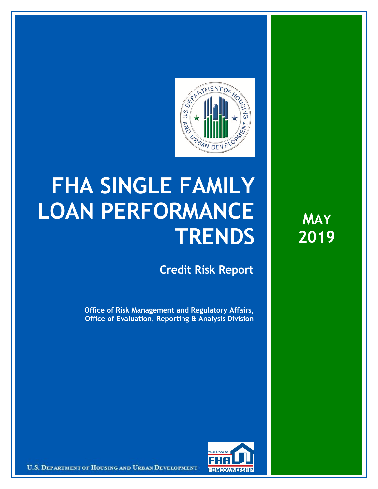

## **FHA SINGLE FAMILY LOAN PERFORMANCE TRENDS**

**Credit Risk Report**

**Office of Risk Management and Regulatory Affairs, Office of Evaluation, Reporting & Analysis Division**

**MAY 2019**



U.S. DEPARTMENT OF HOUSING AND URBAN DEVELOPMENT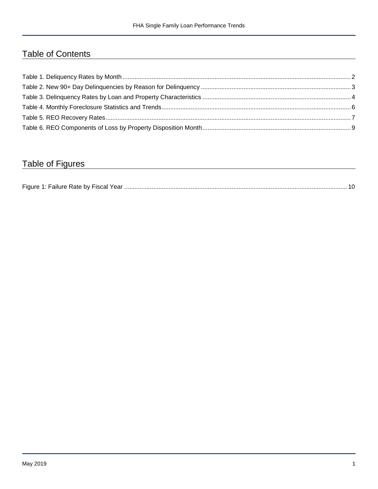## Table of Contents

## Table of Figures

| Figure 1 |  |
|----------|--|
|----------|--|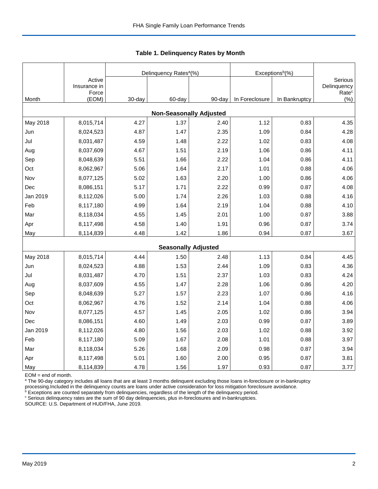|          |                                |        | Delinquency Rates <sup>a</sup> (%) |        | Exceptions <sup>b</sup> (%) |               |                              |  |  |  |  |
|----------|--------------------------------|--------|------------------------------------|--------|-----------------------------|---------------|------------------------------|--|--|--|--|
|          | Active<br>Insurance in         |        |                                    |        |                             |               | Serious<br>Delinquency       |  |  |  |  |
| Month    | Force<br>(EOM)                 | 30-day | 60-day                             | 90-day | In Foreclosure              | In Bankruptcy | Rate <sup>c</sup><br>$(\% )$ |  |  |  |  |
|          | <b>Non-Seasonally Adjusted</b> |        |                                    |        |                             |               |                              |  |  |  |  |
| May 2018 | 8,015,714                      | 4.27   | 1.37                               | 2.40   | 1.12                        | 0.83          | 4.35                         |  |  |  |  |
| Jun      | 8,024,523                      | 4.87   | 1.47                               | 2.35   | 1.09                        | 0.84          | 4.28                         |  |  |  |  |
| Jul      | 8,031,487                      | 4.59   | 1.48                               | 2.22   | 1.02                        | 0.83          | 4.08                         |  |  |  |  |
| Aug      | 8,037,609                      | 4.67   | 1.51                               | 2.19   | 1.06                        | 0.86          | 4.11                         |  |  |  |  |
| Sep      | 8,048,639                      | 5.51   | 1.66                               | 2.22   | 1.04                        | 0.86          | 4.11                         |  |  |  |  |
| Oct      | 8,062,967                      | 5.06   | 1.64                               | 2.17   | 1.01                        | 0.88          | 4.06                         |  |  |  |  |
| Nov      | 8,077,125                      | 5.02   | 1.63                               | 2.20   | 1.00                        | 0.86          | 4.06                         |  |  |  |  |
| Dec      | 8,086,151                      | 5.17   | 1.71                               | 2.22   | 0.99                        | 0.87          | 4.08                         |  |  |  |  |
| Jan 2019 | 8,112,026                      | 5.00   | 1.74                               | 2.26   | 1.03                        | 0.88          | 4.16                         |  |  |  |  |
| Feb      | 8,117,180                      | 4.99   | 1.64                               | 2.19   | 1.04                        | 0.88          | 4.10                         |  |  |  |  |
| Mar      | 8,118,034                      | 4.55   | 1.45                               | 2.01   | 1.00                        | 0.87          | 3.88                         |  |  |  |  |
| Apr      | 8,117,498                      | 4.58   | 1.40                               | 1.91   | 0.96                        | 0.87          | 3.74                         |  |  |  |  |
| May      | 8,114,839                      | 4.48   | 1.42                               | 1.86   | 0.94                        | 0.87          | 3.67                         |  |  |  |  |
|          |                                |        | <b>Seasonally Adjusted</b>         |        |                             |               |                              |  |  |  |  |
| May 2018 | 8,015,714                      | 4.44   | 1.50                               | 2.48   | 1.13                        | 0.84          | 4.45                         |  |  |  |  |
| Jun      | 8,024,523                      | 4.88   | 1.53                               | 2.44   | 1.09                        | 0.83          | 4.36                         |  |  |  |  |
| Jul      | 8,031,487                      | 4.70   | 1.51                               | 2.37   | 1.03                        | 0.83          | 4.24                         |  |  |  |  |
| Aug      | 8,037,609                      | 4.55   | 1.47                               | 2.28   | 1.06                        | 0.86          | 4.20                         |  |  |  |  |
| Sep      | 8,048,639                      | 5.27   | 1.57                               | 2.23   | 1.07                        | 0.86          | 4.16                         |  |  |  |  |
| Oct      | 8,062,967                      | 4.76   | 1.52                               | 2.14   | 1.04                        | 0.88          | 4.06                         |  |  |  |  |
| Nov      | 8,077,125                      | 4.57   | 1.45                               | 2.05   | 1.02                        | 0.86          | 3.94                         |  |  |  |  |
| Dec      | 8,086,151                      | 4.60   | 1.49                               | 2.03   | 0.99                        | 0.87          | 3.89                         |  |  |  |  |
| Jan 2019 | 8,112,026                      | 4.80   | 1.56                               | 2.03   | 1.02                        | 0.88          | 3.92                         |  |  |  |  |
| Feb      | 8,117,180                      | 5.09   | 1.67                               | 2.08   | 1.01                        | 0.88          | 3.97                         |  |  |  |  |
| Mar      | 8,118,034                      | 5.26   | 1.68                               | 2.09   | 0.98                        | 0.87          | 3.94                         |  |  |  |  |
| Apr      | 8,117,498                      | 5.01   | 1.60                               | 2.00   | 0.95                        | 0.87          | 3.81                         |  |  |  |  |
| May      | 8,114,839                      | 4.78   | 1.56                               | 1.97   | 0.93                        | 0.87          | 3.77                         |  |  |  |  |

 **Table 1. Delinquency Rates by Month**

EOM = end of month.

<sup>a</sup> The 90-day category includes all loans that are at least 3 months delinquent excluding those loans in-foreclosure or in-bankruptcy

processing.Included in the delinquency counts are loans under active consideration for loss mitigation foreclosure avoidance.<br><sup>b</sup> Exceptions are counted separately from delinquencies, regardless of the length of the delinq

<sup>c</sup> Serious delinquency rates are the sum of 90 day delinquencies, plus in-foreclosures and in-bankruptcies.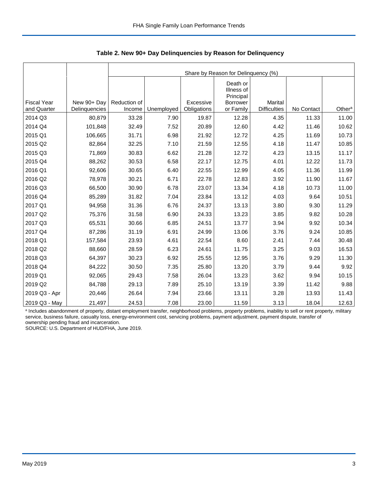|                                   |                              | Share by Reason for Delinquency (%) |            |                          |                                                                     |                                |            |                    |  |  |  |
|-----------------------------------|------------------------------|-------------------------------------|------------|--------------------------|---------------------------------------------------------------------|--------------------------------|------------|--------------------|--|--|--|
| <b>Fiscal Year</b><br>and Quarter | New 90+ Day<br>Delinquencies | Reduction of<br>Income              | Unemployed | Excessive<br>Obligations | Death or<br>Illness of<br>Principal<br><b>Borrower</b><br>or Family | Marital<br><b>Difficulties</b> | No Contact | Other <sup>a</sup> |  |  |  |
| 2014 Q3                           | 80,879                       | 33.28                               | 7.90       | 19.87                    | 12.28                                                               | 4.35                           | 11.33      | 11.00              |  |  |  |
| 2014 Q4                           | 101,848                      | 32.49                               |            |                          |                                                                     |                                |            | 10.62              |  |  |  |
|                                   |                              |                                     | 7.52       | 20.89                    | 12.60                                                               | 4.42                           | 11.46      |                    |  |  |  |
| 2015 Q1                           | 106,665                      | 31.71                               | 6.98       | 21.92                    | 12.72                                                               | 4.25                           | 11.69      | 10.73              |  |  |  |
| 2015 Q2                           | 82,864                       | 32.25                               | 7.10       | 21.59                    | 12.55                                                               | 4.18                           | 11.47      | 10.85              |  |  |  |
| 2015 Q3                           | 71,869                       | 30.83                               | 6.62       | 21.28                    | 12.72                                                               | 4.23                           | 13.15      | 11.17              |  |  |  |
| 2015 Q4                           | 88,262                       | 30.53                               | 6.58       | 22.17                    | 12.75                                                               | 4.01                           | 12.22      | 11.73              |  |  |  |
| 2016 Q1                           | 92,606                       | 30.65                               | 6.40       | 22.55                    | 12.99                                                               | 4.05                           | 11.36      | 11.99              |  |  |  |
| 2016 Q2                           | 78,978                       | 30.21                               | 6.71       | 22.78                    | 12.83                                                               | 3.92                           | 11.90      | 11.67              |  |  |  |
| 2016 Q3                           | 66,500                       | 30.90                               | 6.78       | 23.07                    | 13.34                                                               | 4.18                           | 10.73      | 11.00              |  |  |  |
| 2016 Q4                           | 85,289                       | 31.82                               | 7.04       | 23.84                    | 13.12                                                               | 4.03                           | 9.64       | 10.51              |  |  |  |
| 2017 Q1                           | 94,958                       | 31.36                               | 6.76       | 24.37                    | 13.13                                                               | 3.80                           | 9.30       | 11.29              |  |  |  |
| 2017 Q2                           | 75,376                       | 31.58                               | 6.90       | 24.33                    | 13.23                                                               | 3.85                           | 9.82       | 10.28              |  |  |  |
| 2017 Q3                           | 65,531                       | 30.66                               | 6.85       | 24.51                    | 13.77                                                               | 3.94                           | 9.92       | 10.34              |  |  |  |
| 2017 Q4                           | 87,286                       | 31.19                               | 6.91       | 24.99                    | 13.06                                                               | 3.76                           | 9.24       | 10.85              |  |  |  |
| 2018 Q1                           | 157,584                      | 23.93                               | 4.61       | 22.54                    | 8.60                                                                | 2.41                           | 7.44       | 30.48              |  |  |  |
| 2018 Q2                           | 88,660                       | 28.59                               | 6.23       | 24.61                    | 11.75                                                               | 3.25                           | 9.03       | 16.53              |  |  |  |
| 2018 Q3                           | 64,397                       | 30.23                               | 6.92       | 25.55                    | 12.95                                                               | 3.76                           | 9.29       | 11.30              |  |  |  |
| 2018 Q4                           | 84,222                       | 30.50                               | 7.35       | 25.80                    | 13.20                                                               | 3.79                           | 9.44       | 9.92               |  |  |  |
| 2019 Q1                           | 92,065                       | 29.43                               | 7.58       | 26.04                    | 13.23                                                               | 3.62                           | 9.94       | 10.15              |  |  |  |
| 2019 Q2                           | 84,788                       | 29.13                               | 7.89       | 25.10                    | 13.19                                                               | 3.39                           | 11.42      | 9.88               |  |  |  |
| 2019 Q3 - Apr                     | 20,446                       | 26.64                               | 7.94       | 23.66                    | 13.11                                                               | 3.28                           | 13.93      | 11.43              |  |  |  |
| 2019 Q3 - May                     | 21,497                       | 24.53                               | 7.08       | 23.00                    | 11.59                                                               | 3.13                           | 18.04      | 12.63              |  |  |  |

 **Table 2. New 90+ Day Delinquencies by Reason for Delinquency**

a Includes abandonment of property, distant employment transfer, neighborhood problems, property problems, inability to sell or rent property, military service, business failure, casualty loss, energy-environment cost, servicing problems, payment adjustment, payment dispute, transfer of ownership pending fraud and incarceration.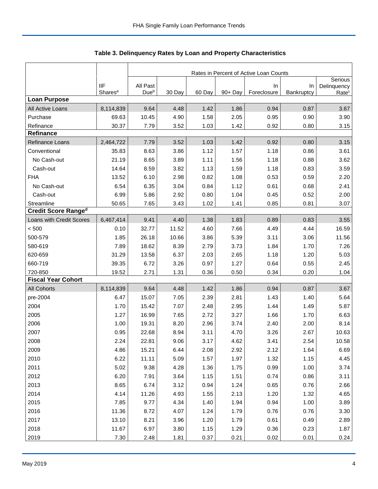|                            |                     | Rates in Percent of Active Loan Counts |        |        |            |                   |                  |                                  |  |
|----------------------------|---------------------|----------------------------------------|--------|--------|------------|-------------------|------------------|----------------------------------|--|
|                            | <b>IIF</b>          | All Past                               |        |        |            |                   |                  | Serious                          |  |
|                            | Shares <sup>a</sup> | Due <sup>b</sup>                       | 30 Day | 60 Day | $90 + Day$ | In<br>Foreclosure | In<br>Bankruptcy | Delinquency<br>Rate <sup>c</sup> |  |
| <b>Loan Purpose</b>        |                     |                                        |        |        |            |                   |                  |                                  |  |
| All Active Loans           | 8,114,839           | 9.64                                   | 4.48   | 1.42   | 1.86       | 0.94              | 0.87             | 3.67                             |  |
| Purchase                   | 69.63               | 10.45                                  | 4.90   | 1.58   | 2.05       | 0.95              | 0.90             | 3.90                             |  |
| Refinance                  | 30.37               | 7.79                                   | 3.52   | 1.03   | 1.42       | 0.92              | 0.80             | 3.15                             |  |
| <b>Refinance</b>           |                     |                                        |        |        |            |                   |                  |                                  |  |
| Refinance Loans            | 2,464,722           | 7.79                                   | 3.52   | 1.03   | 1.42       | 0.92              | 0.80             | 3.15                             |  |
| Conventional               | 35.83               | 8.63                                   | 3.86   | 1.12   | 1.57       | 1.18              | 0.86             | 3.61                             |  |
| No Cash-out                | 21.19               | 8.65                                   | 3.89   | 1.11   | 1.56       | 1.18              | 0.88             | 3.62                             |  |
| Cash-out                   | 14.64               | 8.59                                   | 3.82   | 1.13   | 1.59       | 1.18              | 0.83             | 3.59                             |  |
| <b>FHA</b>                 | 13.52               | 6.10                                   | 2.98   | 0.82   | 1.08       | 0.53              | 0.59             | 2.20                             |  |
| No Cash-out                | 6.54                | 6.35                                   | 3.04   | 0.84   | 1.12       | 0.61              | 0.68             | 2.41                             |  |
| Cash-out                   | 6.99                | 5.86                                   | 2.92   | 0.80   | 1.04       | 0.45              | 0.52             | 2.00                             |  |
| Streamline                 | 50.65               | 7.65                                   | 3.43   | 1.02   | 1.41       | 0.85              | 0.81             | 3.07                             |  |
| <b>Credit Score Ranged</b> |                     |                                        |        |        |            |                   |                  |                                  |  |
| Loans with Credit Scores   | 6,467,414           | 9.41                                   | 4.40   | 1.38   | 1.83       | 0.89              | 0.83             | 3.55                             |  |
| < 500                      | 0.10                | 32.77                                  | 11.52  | 4.60   | 7.66       | 4.49              | 4.44             | 16.59                            |  |
| 500-579                    | 1.85                | 26.18                                  | 10.66  | 3.86   | 5.39       | 3.11              | 3.06             | 11.56                            |  |
| 580-619                    | 7.89                | 18.62                                  | 8.39   | 2.79   | 3.73       | 1.84              | 1.70             | 7.26                             |  |
| 620-659                    | 31.29               | 13.58                                  | 6.37   | 2.03   | 2.65       | 1.18              | 1.20             | 5.03                             |  |
| 660-719                    | 39.35               | 6.72                                   | 3.26   | 0.97   | 1.27       | 0.64              | 0.55             | 2.45                             |  |
| 720-850                    | 19.52               | 2.71                                   | 1.31   | 0.36   | 0.50       | 0.34              | 0.20             | 1.04                             |  |
| <b>Fiscal Year Cohort</b>  |                     |                                        |        |        |            |                   |                  |                                  |  |
| <b>All Cohorts</b>         | 8,114,839           | 9.64                                   | 4.48   | 1.42   | 1.86       | 0.94              | 0.87             | 3.67                             |  |
| pre-2004                   | 6.47                | 15.07                                  | 7.05   | 2.39   | 2.81       | 1.43              | 1.40             | 5.64                             |  |
| 2004                       | 1.70                | 15.42                                  | 7.07   | 2.48   | 2.95       | 1.44              | 1.49             | 5.87                             |  |
| 2005                       | 1.27                | 16.99                                  | 7.65   | 2.72   | 3.27       | 1.66              | 1.70             | 6.63                             |  |
| 2006                       | 1.00                | 19.31                                  | 8.20   | 2.96   | 3.74       | 2.40              | 2.00             | 8.14                             |  |
| 2007                       | 0.95                | 22.68                                  | 8.94   | 3.11   | 4.70       | 3.26              | 2.67             | 10.63                            |  |
| 2008                       | 2.24                | 22.81                                  | 9.06   | 3.17   | 4.62       | 3.41              | 2.54             | 10.58                            |  |
| 2009                       | 4.86                | 15.21                                  | 6.44   | 2.08   | 2.92       | 2.12              | 1.64             | 6.69                             |  |
| 2010                       | 6.22                | 11.11                                  | 5.09   | 1.57   | 1.97       | 1.32              | 1.15             | 4.45                             |  |
| 2011                       | 5.02                | 9.38                                   | 4.28   | 1.36   | 1.75       | 0.99              | 1.00             | 3.74                             |  |
| 2012                       | 6.20                | 7.91                                   | 3.64   | 1.15   | 1.51       | 0.74              | 0.86             | 3.11                             |  |
| 2013                       | 8.65                | 6.74                                   | 3.12   | 0.94   | 1.24       | 0.65              | 0.76             | 2.66                             |  |
| 2014                       | 4.14                | 11.26                                  | 4.93   | 1.55   | 2.13       | 1.20              | 1.32             | 4.65                             |  |
| 2015                       | 7.85                | 9.77                                   | 4.34   | 1.40   | 1.94       | 0.94              | 1.00             | 3.89                             |  |
| 2016                       | 11.36               | 8.72                                   | 4.07   | 1.24   | 1.79       | 0.76              | 0.76             | 3.30                             |  |
| 2017                       | 13.10               | 8.21                                   | 3.96   | 1.20   | 1.79       | 0.61              | 0.49             | 2.89                             |  |
| 2018                       | 11.67               | 6.97                                   | 3.80   | 1.15   | 1.29       | 0.36              | 0.23             | 1.87                             |  |
| 2019                       | 7.30                | 2.48                                   | 1.81   | 0.37   | 0.21       | 0.02              | 0.01             | 0.24                             |  |

Table 3. Delinquency Rates by Loan and Property Characteristics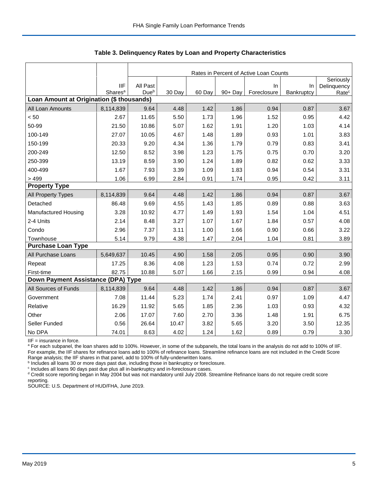|                                           |                     | Rates in Percent of Active Loan Counts |        |        |         |             |            |                          |  |  |
|-------------------------------------------|---------------------|----------------------------------------|--------|--------|---------|-------------|------------|--------------------------|--|--|
|                                           | <b>IIF</b>          | All Past                               |        |        |         | In          | $\ln$      | Seriously<br>Delinquency |  |  |
|                                           | Shares <sup>a</sup> | Dueb                                   | 30 Day | 60 Day | 90+ Day | Foreclosure | Bankruptcy | Rate <sup>c</sup>        |  |  |
| Loan Amount at Origination (\$ thousands) |                     |                                        |        |        |         |             |            |                          |  |  |
| All Loan Amounts                          | 8,114,839           | 9.64                                   | 4.48   | 1.42   | 1.86    | 0.94        | 0.87       | 3.67                     |  |  |
| < 50                                      | 2.67                | 11.65                                  | 5.50   | 1.73   | 1.96    | 1.52        | 0.95       | 4.42                     |  |  |
| 50-99                                     | 21.50               | 10.86                                  | 5.07   | 1.62   | 1.91    | 1.20        | 1.03       | 4.14                     |  |  |
| 100-149                                   | 27.07               | 10.05                                  | 4.67   | 1.48   | 1.89    | 0.93        | 1.01       | 3.83                     |  |  |
| 150-199                                   | 20.33               | 9.20                                   | 4.34   | 1.36   | 1.79    | 0.79        | 0.83       | 3.41                     |  |  |
| 200-249                                   | 12.50               | 8.52                                   | 3.98   | 1.23   | 1.75    | 0.75        | 0.70       | 3.20                     |  |  |
| 250-399                                   | 13.19               | 8.59                                   | 3.90   | 1.24   | 1.89    | 0.82        | 0.62       | 3.33                     |  |  |
| 400-499                                   | 1.67                | 7.93                                   | 3.39   | 1.09   | 1.83    | 0.94        | 0.54       | 3.31                     |  |  |
| >499                                      | 1.06                | 6.99                                   | 2.84   | 0.91   | 1.74    | 0.95        | 0.42       | 3.11                     |  |  |
| <b>Property Type</b>                      |                     |                                        |        |        |         |             |            |                          |  |  |
| All Property Types                        | 8,114,839           | 9.64                                   | 4.48   | 1.42   | 1.86    | 0.94        | 0.87       | 3.67                     |  |  |
| Detached                                  | 86.48               | 9.69                                   | 4.55   | 1.43   | 1.85    | 0.89        | 0.88       | 3.63                     |  |  |
| Manufactured Housing                      | 3.28                | 10.92                                  | 4.77   | 1.49   | 1.93    | 1.54        | 1.04       | 4.51                     |  |  |
| 2-4 Units                                 | 2.14                | 8.48                                   | 3.27   | 1.07   | 1.67    | 1.84        | 0.57       | 4.08                     |  |  |
| Condo                                     | 2.96                | 7.37                                   | 3.11   | 1.00   | 1.66    | 0.90        | 0.66       | 3.22                     |  |  |
| Townhouse                                 | 5.14                | 9.79                                   | 4.38   | 1.47   | 2.04    | 1.04        | 0.81       | 3.89                     |  |  |
| <b>Purchase Loan Type</b>                 |                     |                                        |        |        |         |             |            |                          |  |  |
| All Purchase Loans                        | 5,649,637           | 10.45                                  | 4.90   | 1.58   | 2.05    | 0.95        | 0.90       | 3.90                     |  |  |
| Repeat                                    | 17.25               | 8.36                                   | 4.08   | 1.23   | 1.53    | 0.74        | 0.72       | 2.99                     |  |  |
| First-time                                | 82.75               | 10.88                                  | 5.07   | 1.66   | 2.15    | 0.99        | 0.94       | 4.08                     |  |  |
| Down Payment Assistance (DPA) Type        |                     |                                        |        |        |         |             |            |                          |  |  |
| All Sources of Funds                      | 8,114,839           | 9.64                                   | 4.48   | 1.42   | 1.86    | 0.94        | 0.87       | 3.67                     |  |  |
| Government                                | 7.08                | 11.44                                  | 5.23   | 1.74   | 2.41    | 0.97        | 1.09       | 4.47                     |  |  |
| Relative                                  | 16.29               | 11.92                                  | 5.65   | 1.85   | 2.36    | 1.03        | 0.93       | 4.32                     |  |  |
| Other                                     | 2.06                | 17.07                                  | 7.60   | 2.70   | 3.36    | 1.48        | 1.91       | 6.75                     |  |  |
| Seller Funded                             | 0.56                | 26.64                                  | 10.47  | 3.82   | 5.65    | 3.20        | 3.50       | 12.35                    |  |  |
| No DPA                                    | 74.01               | 8.63                                   | 4.02   | 1.24   | 1.62    | 0.89        | 0.79       | 3.30                     |  |  |

 **Table 3. Delinquency Rates by Loan and Property Characteristics**

IIF = insurance in force.

<sup>a</sup> For each subpanel, the loan shares add to 100%. However, in some of the subpanels, the total loans in the analysis do not add to 100% of IIF. For example, the IIF shares for refinance loans add to 100% of refinance loans. Streamline refinance loans are not included in the Credit Score

Range analysis; the IIF shares in that panel, add to 100% of fully-underwritten loans.<br><sup>b</sup> Includes all loans 30 or more days past due, including those in bankruptcy or foreclosure.

<sup>c</sup> Includes all loans 90 days past due plus all in-bankruptcy and in-foreclosure cases.

<sup>d</sup> Credit score reporting began in May 2004 but was not mandatory until July 2008. Streamline Refinance loans do not require credit score reporting.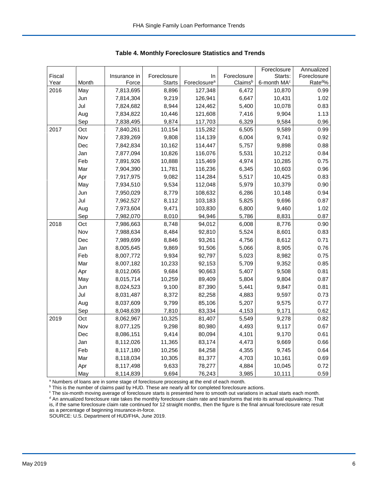|        |       |              |               |                          |             | Foreclosure             | Annualized          |
|--------|-------|--------------|---------------|--------------------------|-------------|-------------------------|---------------------|
| Fiscal |       | Insurance in | Foreclosure   | In                       | Foreclosure | Starts:                 | Foreclosure         |
| Year   | Month | Force        | <b>Starts</b> | Foreclosure <sup>a</sup> | Claimsb     | 6-month MA <sup>c</sup> | Rate <sup>d</sup> % |
| 2016   | May   | 7,813,695    | 8,896         | 127,348                  | 6,472       | 10,870                  | 0.99                |
|        | Jun   | 7,814,304    | 9,219         | 126,941                  | 6,647       | 10,431                  | 1.02                |
|        | Jul   | 7,824,682    | 8,944         | 124,462                  | 5,400       | 10,078                  | 0.83                |
|        | Aug   | 7,834,822    | 10,446        | 121,608                  | 7,416       | 9,904                   | 1.13                |
|        | Sep   | 7,838,495    | 9,874         | 117,703                  | 6,329       | 9,584                   | 0.96                |
| 2017   | Oct   | 7,840,261    | 10,154        | 115,282                  | 6,505       | 9,589                   | 0.99                |
|        | Nov   | 7,839,269    | 9,808         | 114,139                  | 6,004       | 9,741                   | 0.92                |
|        | Dec   | 7,842,834    | 10,162        | 114,447                  | 5,757       | 9,898                   | 0.88                |
|        | Jan   | 7,877,094    | 10,826        | 116,076                  | 5,531       | 10,212                  | 0.84                |
|        | Feb   | 7,891,926    | 10,888        | 115,469                  | 4,974       | 10,285                  | 0.75                |
|        | Mar   | 7,904,390    | 11,781        | 116,236                  | 6,345       | 10,603                  | 0.96                |
|        | Apr   | 7,917,975    | 9,082         | 114,284                  | 5,517       | 10,425                  | 0.83                |
|        | May   | 7,934,510    | 9,534         | 112,048                  | 5,979       | 10,379                  | 0.90                |
|        | Jun   | 7,950,029    | 8,779         | 108,632                  | 6,286       | 10,148                  | 0.94                |
|        | Jul   | 7,962,527    | 8,112         | 103,183                  | 5,825       | 9,696                   | 0.87                |
|        | Aug   | 7,973,604    | 9,471         | 103,830                  | 6,800       | 9,460                   | 1.02                |
|        | Sep   | 7,982,070    | 8,010         | 94,946                   | 5,786       | 8,831                   | 0.87                |
| 2018   | Oct   | 7,986,663    | 8,748         | 94,012                   | 6,008       | 8,776                   | 0.90                |
|        | Nov   | 7,988,634    | 8,484         | 92,810                   | 5,524       | 8,601                   | 0.83                |
|        | Dec   | 7,989,699    | 8,846         | 93,261                   | 4,756       | 8,612                   | 0.71                |
|        | Jan   | 8,005,645    | 9,869         | 91,506                   | 5,066       | 8,905                   | 0.76                |
|        | Feb   | 8,007,772    | 9,934         | 92,797                   | 5,023       | 8,982                   | 0.75                |
|        | Mar   | 8,007,182    | 10,233        | 92,153                   | 5,709       | 9,352                   | 0.85                |
|        | Apr   | 8,012,065    | 9,684         | 90,663                   | 5,407       | 9,508                   | 0.81                |
|        | May   | 8,015,714    | 10,259        | 89,409                   | 5,804       | 9,804                   | 0.87                |
|        | Jun   | 8,024,523    | 9,100         | 87,390                   | 5,441       | 9,847                   | 0.81                |
|        | Jul   | 8,031,487    | 8,372         | 82,258                   | 4,883       | 9,597                   | 0.73                |
|        | Aug   | 8,037,609    | 9,799         | 85,106                   | 5,207       | 9,575                   | 0.77                |
|        | Sep   | 8,048,639    | 7,810         | 83,334                   | 4,153       | 9,171                   | 0.62                |
| 2019   | Oct   | 8,062,967    | 10,325        | 81,407                   | 5,549       | 9,278                   | 0.82                |
|        | Nov   | 8,077,125    | 9,298         | 80,980                   | 4,493       | 9,117                   | 0.67                |
|        | Dec   | 8,086,151    | 9,414         | 80,094                   | 4,101       | 9,170                   | 0.61                |
|        | Jan   | 8,112,026    | 11,365        | 83,174                   | 4,473       | 9,669                   | 0.66                |
|        | Feb   | 8,117,180    | 10,256        | 84,258                   | 4,355       | 9,745                   | 0.64                |
|        | Mar   | 8,118,034    | 10,305        | 81,377                   | 4,703       | 10,161                  | 0.69                |
|        | Apr   | 8,117,498    | 9,633         | 78,277                   | 4,884       | 10,045                  | 0.72                |
|        | May   | 8,114,839    | 9,694         | 76,243                   | 3,985       | 10,111                  | 0.59                |

 **Table 4. Monthly Foreclosure Statistics and Trends**

<sup>a</sup> Numbers of loans are in some stage of foreclosure processing at the end of each month.

<sup>b</sup> This is the number of claims paid by HUD. These are nearly all for completed foreclosure actions.

° The six-month moving average of foreclosure starts is presented here to smooth out variations in actual starts each month.<br><sup>d</sup> An annualized foreclosure rate takes the monthly foreclosure claim rate and transforms that i is, if the same foreclosure claim rate continued for 12 straight months, then the figure is the final annual foreclosure rate result as a percentage of beginning insurance-in-force.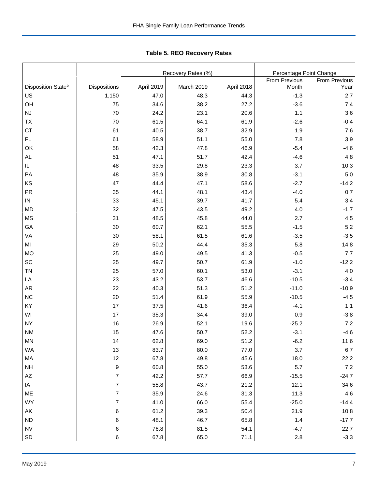|                                |                |            | Recovery Rates (%) | Percentage Point Change |               |                      |
|--------------------------------|----------------|------------|--------------------|-------------------------|---------------|----------------------|
|                                |                |            |                    |                         | From Previous | <b>From Previous</b> |
| Disposition State <sup>b</sup> | Dispositions   | April 2019 | March 2019         | April 2018              | Month         | Year                 |
| US                             | 1,150          | 47.0       | 48.3               | 44.3                    | $-1.3$        | 2.7                  |
| OH                             | 75             | 34.6       | 38.2               | 27.2                    | $-3.6$        | 7.4                  |
| <b>NJ</b>                      | 70             | 24.2       | 23.1               | 20.6                    | 1.1           | 3.6                  |
| TX                             | 70             | 61.5       | 64.1               | 61.9                    | $-2.6$        | $-0.4$               |
| <b>CT</b>                      | 61             | 40.5       | 38.7               | 32.9                    | 1.9           | 7.6                  |
| <b>FL</b>                      | 61             | 58.9       | 51.1               | 55.0                    | 7.8           | 3.9                  |
| OK                             | 58             | 42.3       | 47.8               | 46.9                    | $-5.4$        | $-4.6$               |
| <b>AL</b>                      | 51             | 47.1       | 51.7               | 42.4                    | $-4.6$        | 4.8                  |
| IL                             | 48             | 33.5       | 29.8               | 23.3                    | 3.7           | 10.3                 |
| PA                             | 48             | 35.9       | 38.9               | 30.8                    | $-3.1$        | 5.0                  |
| KS                             | 47             | 44.4       | 47.1               | 58.6                    | $-2.7$        | $-14.2$              |
| <b>PR</b>                      | 35             | 44.1       | 48.1               | 43.4                    | $-4.0$        | 0.7                  |
| ${\sf IN}$                     | 33             | 45.1       | 39.7               | 41.7                    | 5.4           | 3.4                  |
| <b>MD</b>                      | 32             | 47.5       | 43.5               | 49.2                    | 4.0           | $-1.7$               |
| <b>MS</b>                      | 31             | 48.5       | 45.8               | 44.0                    | 2.7           | 4.5                  |
| GA                             | 30             | 60.7       | 62.1               | 55.5                    | $-1.5$        | 5.2                  |
| VA                             | 30             | 58.1       | 61.5               | 61.6                    | $-3.5$        | $-3.5$               |
| MI                             | 29             | 50.2       | 44.4               | 35.3                    | 5.8           | 14.8                 |
| <b>MO</b>                      | 25             | 49.0       | 49.5               | 41.3                    | $-0.5$        | 7.7                  |
| SC                             | 25             | 49.7       | 50.7               | 61.9                    | $-1.0$        | $-12.2$              |
| <b>TN</b>                      | 25             | 57.0       | 60.1               | 53.0                    | $-3.1$        | 4.0                  |
| LA                             | 23             | 43.2       | 53.7               | 46.6                    | $-10.5$       | $-3.4$               |
| AR                             | 22             | 40.3       | 51.3               | 51.2                    | $-11.0$       | $-10.9$              |
| <b>NC</b>                      | 20             | 51.4       | 61.9               | 55.9                    | $-10.5$       | $-4.5$               |
| KY                             | 17             | 37.5       | 41.6               | 36.4                    | $-4.1$        | 1.1                  |
| WI                             | 17             | 35.3       | 34.4               | 39.0                    | 0.9           | $-3.8$               |
| <b>NY</b>                      | 16             | 26.9       | 52.1               | 19.6                    | $-25.2$       | 7.2                  |
| <b>NM</b>                      | 15             | 47.6       | 50.7               | 52.2                    | $-3.1$        | $-4.6$               |
| $\mathsf{MN}$                  | 14             | 62.8       | 69.0               | 51.2                    | $-6.2$        | 11.6                 |
| WA                             | 13             | 83.7       | 80.0               | 77.0                    | 3.7           | 6.7                  |
| MA                             | 12             | 67.8       | 49.8               | 45.6                    | 18.0          | 22.2                 |
| <b>NH</b>                      | 9              | 60.8       | 55.0               | 53.6                    | 5.7           | 7.2                  |
| $\mathsf{A}\mathsf{Z}$         | 7              | 42.2       | 57.7               | 66.9                    | $-15.5$       | $-24.7$              |
| IA                             | $\overline{7}$ | 55.8       | 43.7               | 21.2                    | 12.1          | 34.6                 |
| ME                             | $\overline{7}$ | 35.9       | 24.6               | 31.3                    | 11.3          | 4.6                  |
| WY                             | $\overline{7}$ | 41.0       | 66.0               | 55.4                    | $-25.0$       | $-14.4$              |
| AK                             | 6              | 61.2       | 39.3               | 50.4                    | 21.9          | 10.8                 |
| ND                             | 6              | 48.1       | 46.7               | 65.8                    | 1.4           | $-17.7$              |
| <b>NV</b>                      | 6              | 76.8       | 81.5               | 54.1                    | $-4.7$        | 22.7                 |
| SD                             | 6              | 67.8       | 65.0               | 71.1                    | 2.8           | $-3.3$               |

Tabl e 5. REO R ecover y R ates **Table 5. REO Recovery Rates**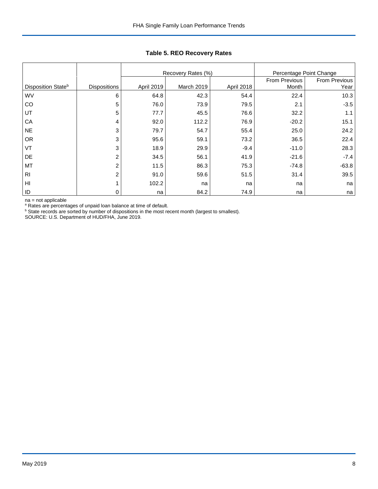|                                |                     |            | Recovery Rates (%) |               | Percentage Point Change |         |
|--------------------------------|---------------------|------------|--------------------|---------------|-------------------------|---------|
|                                |                     |            |                    | From Previous | From Previous           |         |
| Disposition State <sup>b</sup> | <b>Dispositions</b> | April 2019 | March 2019         | April 2018    | Month                   | Year    |
| <b>WV</b>                      | 6                   | 64.8       | 42.3               | 54.4          | 22.4                    | 10.3    |
| CO                             | 5                   | 76.0       | 73.9               | 79.5          | 2.1                     | $-3.5$  |
| UT                             | 5                   | 77.7       | 45.5               | 76.6          | 32.2                    | 1.1     |
| CA                             | 4                   | 92.0       | 112.2              | 76.9          | $-20.2$                 | 15.1    |
| <b>NE</b>                      | 3                   | 79.7       | 54.7               | 55.4          | 25.0                    | 24.2    |
| <b>OR</b>                      | 3                   | 95.6       | 59.1               | 73.2          | 36.5                    | 22.4    |
| VT                             | 3                   | 18.9       | 29.9               | $-9.4$        | $-11.0$                 | 28.3    |
| DE                             | $\overline{2}$      | 34.5       | 56.1               | 41.9          | $-21.6$                 | $-7.4$  |
| MT                             | 2                   | 11.5       | 86.3               | 75.3          | $-74.8$                 | $-63.8$ |
| R <sub>l</sub>                 | $\overline{2}$      | 91.0       | 59.6               | 51.5          | 31.4                    | 39.5    |
| HI                             |                     | 102.2      | na                 | na            | na                      | na      |
| ID                             | 0                   | na         | 84.2               | 74.9          | na                      | na      |

## **Table 5. REO Recovery Rates**

na = not applicable

<sup>a</sup> Rates are percentages of unpaid loan balance at time of default.<br><sup>b</sup> State records are sorted by number of dispositions in the most recent month (largest to smallest).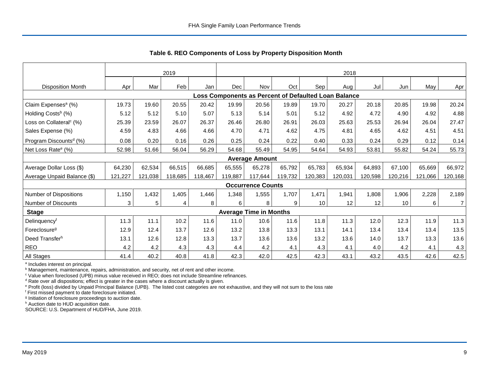|                                     | 2019    |         |                |         |                                                      | 2018                          |         |         |         |         |         |         |                |
|-------------------------------------|---------|---------|----------------|---------|------------------------------------------------------|-------------------------------|---------|---------|---------|---------|---------|---------|----------------|
| <b>Disposition Month</b>            | Apr     | Mar     | Feb            | Jan     | Dec                                                  | Nov                           | Oct     | Sep     | Aug     | Jul     | Jun     | May     | Apr            |
|                                     |         |         |                |         | Loss Components as Percent of Defaulted Loan Balance |                               |         |         |         |         |         |         |                |
| Claim Expenses <sup>a</sup> (%)     | 19.73   | 19.60   | 20.55          | 20.42   | 19.99                                                | 20.56                         | 19.89   | 19.70   | 20.27   | 20.18   | 20.85   | 19.98   | 20.24          |
| Holding Costs <sup>b</sup> (%)      | 5.12    | 5.12    | 5.10           | 5.07    | 5.13                                                 | 5.14                          | 5.01    | 5.12    | 4.92    | 4.72    | 4.90    | 4.92    | 4.88           |
| Loss on Collateral <sup>c</sup> (%) | 25.39   | 23.59   | 26.07          | 26.37   | 26.46                                                | 26.80                         | 26.91   | 26.03   | 25.63   | 25.53   | 26.94   | 26.04   | 27.47          |
| Sales Expense (%)                   | 4.59    | 4.83    | 4.66           | 4.66    | 4.70                                                 | 4.71                          | 4.62    | 4.75    | 4.81    | 4.65    | 4.62    | 4.51    | 4.51           |
| Program Discounts <sup>d</sup> (%)  | 0.08    | 0.20    | 0.16           | 0.26    | 0.25                                                 | 0.24                          | 0.22    | 0.40    | 0.33    | 0.24    | 0.29    | 0.12    | 0.14           |
| Net Loss Rate <sup>e</sup> (%)      | 52.98   | 51.66   | 56.04          | 56.29   | 54.68                                                | 55.49                         | 54.95   | 54.64   | 54.93   | 53.81   | 55.82   | 54.24   | 55.73          |
|                                     |         |         |                |         |                                                      | <b>Average Amount</b>         |         |         |         |         |         |         |                |
| Average Dollar Loss (\$)            | 64,230  | 62,534  | 66,515         | 66.685  | 65,555                                               | 65,278                        | 65.792  | 65,783  | 65,934  | 64,893  | 67,100  | 65.669  | 66,972         |
| Average Unpaid Balance (\$)         | 121,227 | 121,038 | 118,685        | 118,467 | 119,887                                              | 117,644                       | 119,732 | 120,383 | 120,031 | 120,598 | 120,216 | 121,066 | 120,168        |
|                                     |         |         |                |         |                                                      | <b>Occurrence Counts</b>      |         |         |         |         |         |         |                |
| Number of Dispositions              | 1,150   | 1,432   | 1,405          | 1,446   | 1,348                                                | 1,555                         | 1,707   | 1,471   | 1,941   | 1,808   | 1,906   | 2,228   | 2,189          |
| <b>Number of Discounts</b>          | 3       | 5       | $\overline{4}$ | 8       | 6                                                    | 8                             | 9       | 10      | 12      | 12      | 10      | 6       | $\overline{7}$ |
| <b>Stage</b>                        |         |         |                |         |                                                      | <b>Average Time in Months</b> |         |         |         |         |         |         |                |
| Delinquencyf                        | 11.3    | 11.1    | 10.2           | 11.6    | 11.0                                                 | 10.6                          | 11.6    | 11.8    | 11.3    | 12.0    | 12.3    | 11.9    | 11.3           |
| Foreclosure <sup>g</sup>            | 12.9    | 12.4    | 13.7           | 12.6    | 13.2                                                 | 13.8                          | 13.3    | 13.1    | 14.1    | 13.4    | 13.4    | 13.4    | 13.5           |
| Deed Transferh                      | 13.1    | 12.6    | 12.8           | 13.3    | 13.7                                                 | 13.6                          | 13.6    | 13.2    | 13.6    | 14.0    | 13.7    | 13.3    | 13.6           |
| <b>REO</b>                          | 4.2     | 4.2     | 4.3            | 4.3     | 4.4                                                  | 4.2                           | 4.1     | 4.3     | 4.1     | 4.0     | 4.2     | 4.1     | 4.3            |
| All Stages                          | 41.4    | 40.2    | 40.8           | 41.8    | 42.3                                                 | 42.0                          | 42.5    | 42.3    | 43.1    | 43.2    | 43.5    | 42.6    | 42.5           |

 **Table 6. REO Components of Loss by Property Disposition Month**

<sup>a</sup> Includes interest on principal.

<sup>b</sup> Management, maintenance, repairs, administration, and security, net of rent and other income.

c Value when foreclosed (UPB) minus value received in REO; does not include Streamline refinances.

<sup>d</sup> Rate over all dispositions; effect is greater in the cases where a discount actually is given.

e Profit (loss) divided by Unpaid Principal Balance (UPB). The listed cost categories are not exhaustive, and they will not sum to the loss rate

f First missed payment to date foreclosure initiated.

<sup>g</sup> Initiation of foreclosure proceedings to auction date.

h Auction date to HUD acquisition date.